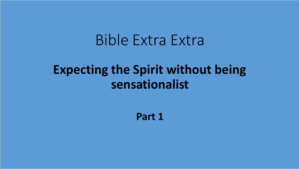# Bible Extra Extra

### **Expecting the Spirit without being sensationalist**

**Part 1**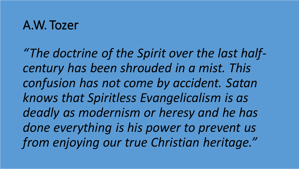#### A.W. Tozer

*"The doctrine of the Spirit over the last halfcentury has been shrouded in a mist. This confusion has not come by accident. Satan knows that Spiritless Evangelicalism is as deadly as modernism or heresy and he has done everything is his power to prevent us from enjoying our true Christian heritage."*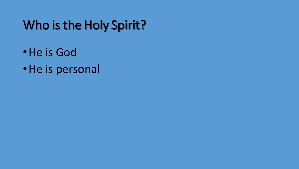## Who is the Holy Spirit?

- •He is God
- •He is personal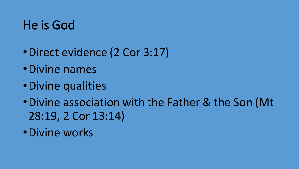## He is God

- •Direct evidence (2 Cor 3:17)
- •Divine names
- •Divine qualities
- •Divine association with the Father & the Son (Mt 28:19, 2 Cor 13:14)
- •Divine works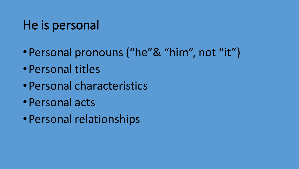## He is personal

- •Personal pronouns ("he"& "him", not "it")
- •Personal titles
- •Personal characteristics
- •Personal acts
- •Personal relationships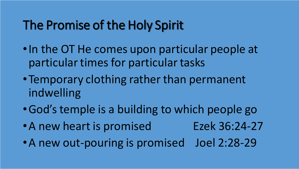## The Promise of the Holy Spirit

- •In the OT He comes upon particular people at particular times for particular tasks
- •Temporary clothing rather than permanent indwelling
- •God's temple is a building to which people go
- A new heart is promised Ezek 36:24-27
- •A new out-pouring is promised Joel 2:28-29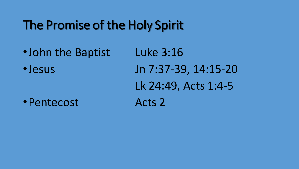## The Promise of the Holy Spirit

•John the Baptist Luke 3:16 • Jesus Jn 7:37-39, 14:15-20 Lk 24:49, Acts 1:4-5 • Pentecost Acts 2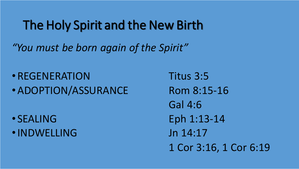#### The Holy Spirit and the New Birth

*"You must be born again of the Spirit"*

• REGENERATION Titus 3:5 • ADOPTION/ASSURANCE Rom 8:15-16

- 
- •INDWELLING Jn 14:17

Gal 4:6  $\bullet$  SEALING Eph 1:13-14 1 Cor 3:16, 1 Cor 6:19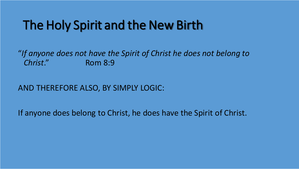## The Holy Spirit and the New Birth

"*If anyone does not have the Spirit of Christ he does not belong to Christ*." Rom 8:9

#### AND THEREFORE ALSO, BY SIMPLY LOGIC:

If anyone does belong to Christ, he does have the Spirit of Christ.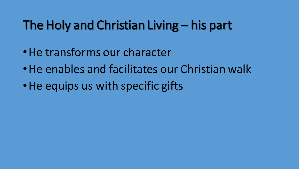## The Holy and Christian Living – his part

- •He transforms our character
- •He enables and facilitates our Christian walk
- He equips us with specific gifts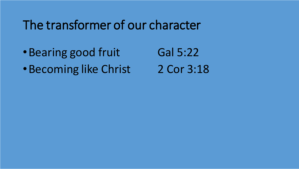#### The transformer of our character

- Bearing good fruit Gal 5:22
- •Becoming like Christ 2 Cor 3:18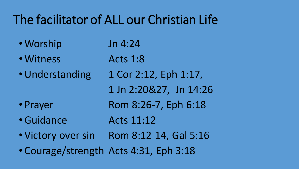# The facilitator of ALL our Christian Life

- Worship Jn 4:24
- Witness Acts 1:8
- Understanding 1 Cor 2:12, Eph 1:17,
	- 1 Jn 2:20&27, Jn 14:26
- Prayer Rom 8:26-7, Eph 6:18
- •Guidance Acts 11:12
- Victory over sin Rom 8:12-14, Gal 5:16
- Courage/strength Acts 4:31, Eph 3:18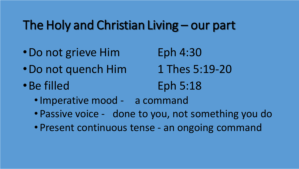#### The Holy and Christian Living – our part

- Do not grieve Him Eph 4:30
- Do not quench Him 1 Thes 5:19-20
- 

- 
- •Be filled Eph 5:18
	- Imperative mood a command
	- Passive voice done to you, not something you do
	- Present continuous tense an ongoing command